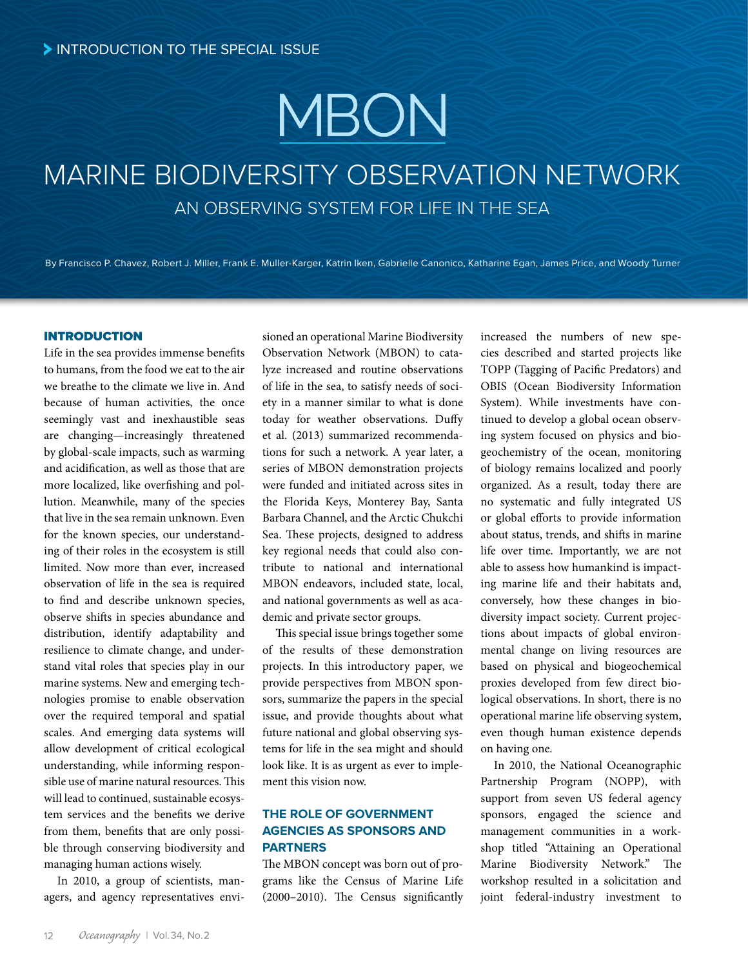# MBON

# MARINE BIODIVERSITY OBSERVATION NETWORK AN OBSERVING SYSTEM FOR LIFE IN THE SEA

By Francisco P. Chavez, Robert J. Miller, Frank E. Muller-Karger, Katrin Iken, Gabrielle Canonico, Katharine Egan, James Price, and Woody Turner

# INTRODUCTION

Life in the sea provides immense benefits to humans, from the food we eat to the air we breathe to the climate we live in. And because of human activities, the once seemingly vast and inexhaustible seas are changing—increasingly threatened by global-scale impacts, such as warming and acidification, as well as those that are more localized, like overfishing and pollution. Meanwhile, many of the species that live in the sea remain unknown. Even for the known species, our understanding of their roles in the ecosystem is still limited. Now more than ever, increased observation of life in the sea is required to find and describe unknown species, observe shifts in species abundance and distribution, identify adaptability and resilience to climate change, and understand vital roles that species play in our marine systems. New and emerging technologies promise to enable observation over the required temporal and spatial scales. And emerging data systems will allow development of critical ecological understanding, while informing responsible use of marine natural resources. This will lead to continued, sustainable ecosystem services and the benefits we derive from them, benefits that are only possible through conserving biodiversity and managing human actions wisely.

In 2010, a group of scientists, managers, and agency representatives envi-

sioned an operational Marine Biodiversity Observation Network (MBON) to catalyze increased and routine observations of life in the sea, to satisfy needs of society in a manner similar to what is done today for weather observations. Duffy et al. (2013) summarized recommendations for such a network. A year later, a series of MBON demonstration projects were funded and initiated across sites in the Florida Keys, Monterey Bay, Santa Barbara Channel, and the Arctic Chukchi Sea. These projects, designed to address key regional needs that could also contribute to national and international MBON endeavors, included state, local, and national governments as well as academic and private sector groups.

This special issue brings together some of the results of these demonstration projects. In this introductory paper, we provide perspectives from MBON sponsors, summarize the papers in the special issue, and provide thoughts about what future national and global observing systems for life in the sea might and should look like. It is as urgent as ever to implement this vision now.

# **THE ROLE OF GOVERNMENT AGENCIES AS SPONSORS AND PARTNERS**

The MBON concept was born out of programs like the Census of Marine Life (2000–2010). The Census significantly increased the numbers of new species described and started projects like TOPP (Tagging of Pacific Predators) and OBIS (Ocean Biodiversity Information System). While investments have continued to develop a global ocean observing system focused on physics and biogeochemistry of the ocean, monitoring of biology remains localized and poorly organized. As a result, today there are no systematic and fully integrated US or global efforts to provide information about status, trends, and shifts in marine life over time. Importantly, we are not able to assess how humankind is impacting marine life and their habitats and, conversely, how these changes in biodiversity impact society. Current projections about impacts of global environmental change on living resources are based on physical and biogeochemical proxies developed from few direct biological observations. In short, there is no operational marine life observing system, even though human existence depends on having one.

In 2010, the National Oceanographic Partnership Program (NOPP), with support from seven US federal agency sponsors, engaged the science and management communities in a workshop titled "Attaining an Operational Marine Biodiversity Network." The workshop resulted in a solicitation and joint federal-industry investment to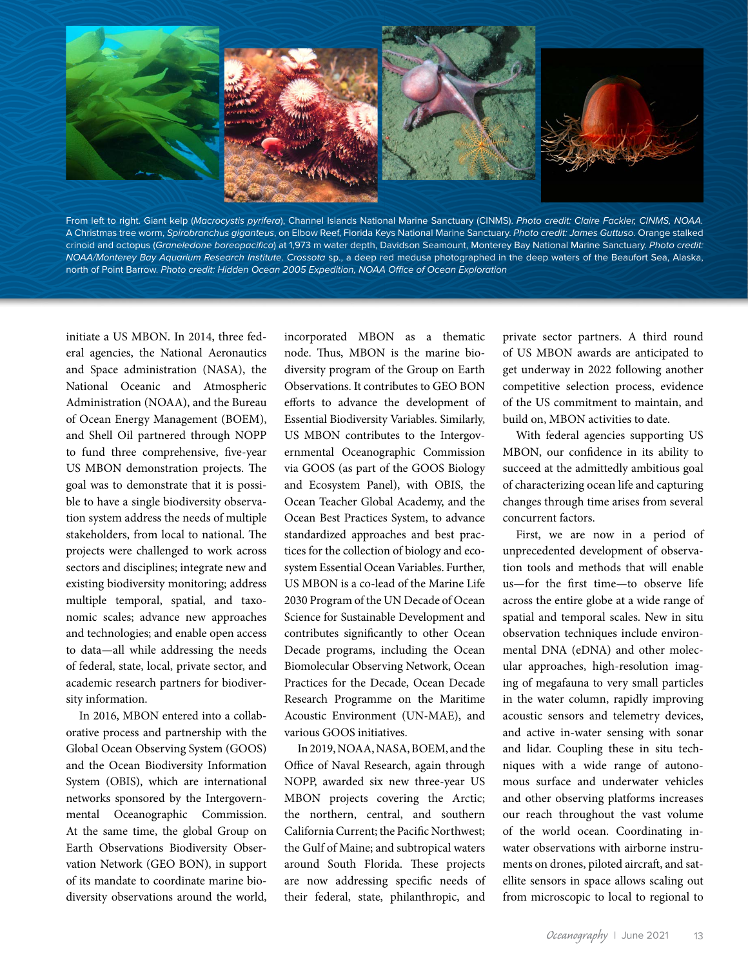

From left to right. Giant kelp (*Macrocystis pyrifera*), Channel Islands National Marine Sanctuary (CINMS). *Photo credit: Claire Fackler, CINMS, NOAA.* A Christmas tree worm, *Spirobranchus giganteus*, on Elbow Reef, Florida Keys National Marine Sanctuary. *Photo credit: James Guttuso*. Orange stalked crinoid and octopus (*Graneledone boreopacifica*) at 1,973 m water depth, Davidson Seamount, Monterey Bay National Marine Sanctuary. *Photo credit: NOAA/Monterey Bay Aquarium Research Institute*. *Crossota* sp., a deep red medusa photographed in the deep waters of the Beaufort Sea, Alaska, north of Point Barrow. *Photo credit: Hidden Ocean 2005 Expedition, NOAA Office of Ocean Exploration*

initiate a US MBON. In 2014, three federal agencies, the National Aeronautics and Space administration (NASA), the National Oceanic and Atmospheric Administration (NOAA), and the Bureau of Ocean Energy Management (BOEM), and Shell Oil partnered through NOPP to fund three comprehensive, five-year US MBON demonstration projects. The goal was to demonstrate that it is possible to have a single biodiversity observation system address the needs of multiple stakeholders, from local to national. The projects were challenged to work across sectors and disciplines; integrate new and existing biodiversity monitoring; address multiple temporal, spatial, and taxonomic scales; advance new approaches and technologies; and enable open access to data—all while addressing the needs of federal, state, local, private sector, and academic research partners for biodiversity information.

In 2016, MBON entered into a collaborative process and partnership with the Global Ocean Observing System (GOOS) and the Ocean Biodiversity Information System (OBIS), which are international networks sponsored by the Intergovernmental Oceanographic Commission. At the same time, the global Group on Earth Observations Biodiversity Observation Network (GEO BON), in support of its mandate to coordinate marine biodiversity observations around the world, incorporated MBON as a thematic node. Thus, MBON is the marine biodiversity program of the Group on Earth Observations. It contributes to GEO BON efforts to advance the development of Essential Biodiversity Variables. Similarly, US MBON contributes to the Intergovernmental Oceanographic Commission via GOOS (as part of the GOOS Biology and Ecosystem Panel), with OBIS, the Ocean Teacher Global Academy, and the Ocean Best Practices System, to advance standardized approaches and best practices for the collection of biology and ecosystem Essential Ocean Variables. Further, US MBON is a co-lead of the Marine Life 2030 Program of the UN Decade of Ocean Science for Sustainable Development and contributes significantly to other Ocean Decade programs, including the Ocean Biomolecular Observing Network, Ocean Practices for the Decade, Ocean Decade Research Programme on the Maritime Acoustic Environment (UN-MAE), and various GOOS initiatives.

In 2019, NOAA, NASA, BOEM, and the Office of Naval Research, again through NOPP, awarded six new three-year US MBON projects covering the Arctic; the northern, central, and southern California Current; the Pacific Northwest; the Gulf of Maine; and subtropical waters around South Florida. These projects are now addressing specific needs of their federal, state, philanthropic, and private sector partners. A third round of US MBON awards are anticipated to get underway in 2022 following another competitive selection process, evidence of the US commitment to maintain, and build on, MBON activities to date.

With federal agencies supporting US MBON, our confidence in its ability to succeed at the admittedly ambitious goal of characterizing ocean life and capturing changes through time arises from several concurrent factors.

First, we are now in a period of unprecedented development of observation tools and methods that will enable us—for the first time—to observe life across the entire globe at a wide range of spatial and temporal scales. New in situ observation techniques include environmental DNA (eDNA) and other molecular approaches, high-resolution imaging of megafauna to very small particles in the water column, rapidly improving acoustic sensors and telemetry devices, and active in-water sensing with sonar and lidar. Coupling these in situ techniques with a wide range of autonomous surface and underwater vehicles and other observing platforms increases our reach throughout the vast volume of the world ocean. Coordinating inwater observations with airborne instruments on drones, piloted aircraft, and satellite sensors in space allows scaling out from microscopic to local to regional to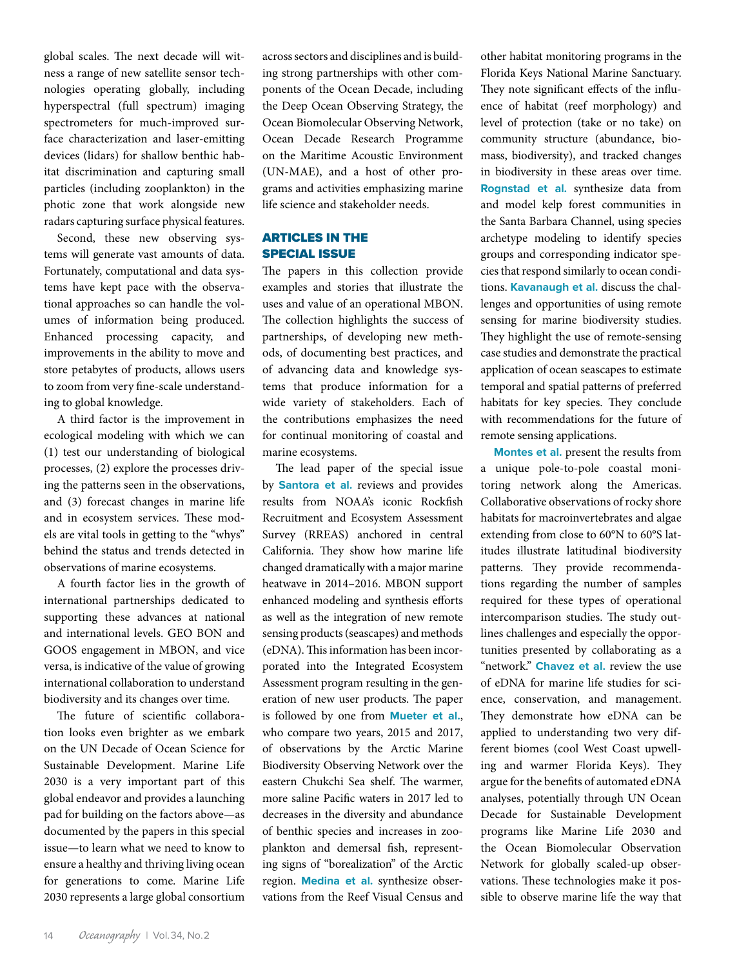global scales. The next decade will witness a range of new satellite sensor technologies operating globally, including hyperspectral (full spectrum) imaging spectrometers for much-improved surface characterization and laser-emitting devices (lidars) for shallow benthic habitat discrimination and capturing small particles (including zooplankton) in the photic zone that work alongside new radars capturing surface physical features.

Second, these new observing systems will generate vast amounts of data. Fortunately, computational and data systems have kept pace with the observational approaches so can handle the volumes of information being produced. Enhanced processing capacity, and improvements in the ability to move and store petabytes of products, allows users to zoom from very fine-scale understanding to global knowledge.

A third factor is the improvement in ecological modeling with which we can (1) test our understanding of biological processes, (2) explore the processes driving the patterns seen in the observations, and (3) forecast changes in marine life and in ecosystem services. These models are vital tools in getting to the "whys" behind the status and trends detected in observations of marine ecosystems.

A fourth factor lies in the growth of international partnerships dedicated to supporting these advances at national and international levels. GEO BON and GOOS engagement in MBON, and vice versa, is indicative of the value of growing international collaboration to understand biodiversity and its changes over time.

The future of scientific collaboration looks even brighter as we embark on the UN Decade of Ocean Science for Sustainable Development. Marine Life 2030 is a very important part of this global endeavor and provides a launching pad for building on the factors above—as documented by the papers in this special issue—to learn what we need to know to ensure a healthy and thriving living ocean for generations to come. Marine Life 2030 represents a large global consortium

across sectors and disciplines and is building strong partnerships with other components of the Ocean Decade, including the Deep Ocean Observing Strategy, the Ocean Biomolecular Observing Network, Ocean Decade Research Programme on the Maritime Acoustic Environment (UN-MAE), and a host of other programs and activities emphasizing marine life science and stakeholder needs.

## ARTICLES IN THE SPECIAL ISSUE

The papers in this collection provide examples and stories that illustrate the uses and value of an operational MBON. The collection highlights the success of partnerships, of developing new methods, of documenting best practices, and of advancing data and knowledge systems that produce information for a wide variety of stakeholders. Each of the contributions emphasizes the need for continual monitoring of coastal and marine ecosystems.

The lead paper of the special issue by **Santora et al.** reviews and provides results from NOAA's iconic Rockfish Recruitment and Ecosystem Assessment Survey (RREAS) anchored in central California. They show how marine life changed dramatically with a major marine heatwave in 2014–2016. MBON support enhanced modeling and synthesis efforts as well as the integration of new remote sensing products (seascapes) and methods (eDNA). This information has been incorporated into the Integrated Ecosystem Assessment program resulting in the generation of new user products. The paper is followed by one from **Mueter et al.**, who compare two years, 2015 and 2017, of observations by the Arctic Marine Biodiversity Observing Network over the eastern Chukchi Sea shelf. The warmer, more saline Pacific waters in 2017 led to decreases in the diversity and abundance of benthic species and increases in zooplankton and demersal fish, representing signs of "borealization" of the Arctic region. **Medina et al.** synthesize observations from the Reef Visual Census and

other habitat monitoring programs in the Florida Keys National Marine Sanctuary. They note significant effects of the influence of habitat (reef morphology) and level of protection (take or no take) on community structure (abundance, biomass, biodiversity), and tracked changes in biodiversity in these areas over time. **Rognstad et al.** synthesize data from and model kelp forest communities in the Santa Barbara Channel, using species archetype modeling to identify species groups and corresponding indicator species that respond similarly to ocean conditions. **Kavanaugh et al.** discuss the challenges and opportunities of using remote sensing for marine biodiversity studies. They highlight the use of remote-sensing case studies and demonstrate the practical application of ocean seascapes to estimate temporal and spatial patterns of preferred habitats for key species. They conclude with recommendations for the future of remote sensing applications.

**Montes et al.** present the results from a unique pole-to-pole coastal monitoring network along the Americas. Collaborative observations of rocky shore habitats for macroinvertebrates and algae extending from close to 60°N to 60°S latitudes illustrate latitudinal biodiversity patterns. They provide recommendations regarding the number of samples required for these types of operational intercomparison studies. The study outlines challenges and especially the opportunities presented by collaborating as a "network." **Chavez et al.** review the use of eDNA for marine life studies for science, conservation, and management. They demonstrate how eDNA can be applied to understanding two very different biomes (cool West Coast upwelling and warmer Florida Keys). They argue for the benefits of automated eDNA analyses, potentially through UN Ocean Decade for Sustainable Development programs like Marine Life 2030 and the Ocean Biomolecular Observation Network for globally scaled-up observations. These technologies make it possible to observe marine life the way that